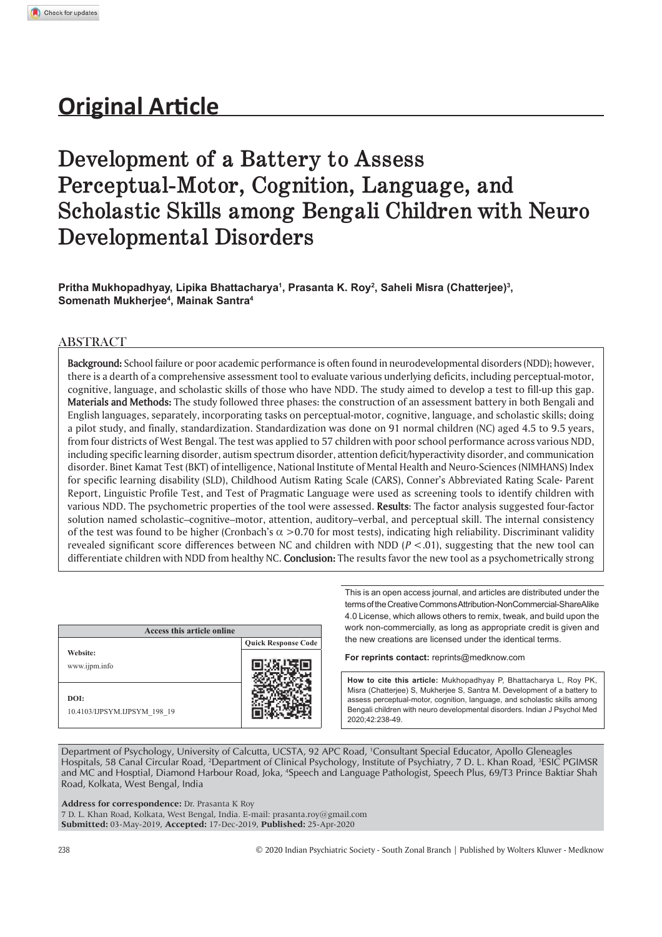# **Original Article**

# **Development of a Battery to Assess Perceptual-Motor, Cognition, Language, and Scholastic Skills among Bengali Children with Neuro Developmental Disorders**

**Pritha Mukhopadhyay, Lipika Bhattacharya<sup>1</sup> , Prasanta K. Roy<sup>2</sup> , Saheli Misra (Chatterjee)<sup>3</sup> , Somenath Mukherjee<sup>4</sup> , Mainak Santra<sup>4</sup>**

# ABSTRACT

**Background:** School failure or poor academic performance is often found in neurodevelopmental disorders (NDD); however, there is a dearth of a comprehensive assessment tool to evaluate various underlying deficits, including perceptual-motor, cognitive, language, and scholastic skills of those who have NDD. The study aimed to develop a test to fill-up this gap. **Materials and Methods:** The study followed three phases: the construction of an assessment battery in both Bengali and English languages, separately, incorporating tasks on perceptual-motor, cognitive, language, and scholastic skills; doing a pilot study, and finally, standardization. Standardization was done on 91 normal children (NC) aged 4.5 to 9.5 years, from four districts of West Bengal. The test was applied to 57 children with poor school performance across various NDD, including specific learning disorder, autism spectrum disorder, attention deficit/hyperactivity disorder, and communication disorder. Binet Kamat Test (BKT) of intelligence, National Institute of Mental Health and Neuro-Sciences (NIMHANS) Index for specific learning disability (SLD), Childhood Autism Rating Scale (CARS), Conner's Abbreviated Rating Scale- Parent Report, Linguistic Profile Test, and Test of Pragmatic Language were used as screening tools to identify children with various NDD. The psychometric properties of the tool were assessed. **Results**: The factor analysis suggested four-factor solution named scholastic–cognitive–motor, attention, auditory–verbal, and perceptual skill. The internal consistency of the test was found to be higher (Cronbach's  $\alpha$  >0.70 for most tests), indicating high reliability. Discriminant validity revealed significant score differences between NC and children with NDD (*P* <.01), suggesting that the new tool can differentiate children with NDD from healthy NC. **Conclusion:** The results favor the new tool as a psychometrically strong

| Access this article online           |                            |
|--------------------------------------|----------------------------|
|                                      | <b>Quick Response Code</b> |
| Website:<br>www.ijpm.info            |                            |
| DOI:<br>10.4103/IJPSYM.IJPSYM 198 19 |                            |

This is an open access journal, and articles are distributed under the terms of the Creative Commons Attribution-NonCommercial-ShareAlike 4.0 License, which allows others to remix, tweak, and build upon the work non-commercially, as long as appropriate credit is given and the new creations are licensed under the identical terms.

**For reprints contact:** reprints@medknow.com

How to cite this article: Mukhopadhyay P, Bhattacharya L, Roy PK, Misra (Chatterjee) S, Mukherjee S, Santra M. Development of a battery to assess perceptual-motor, cognition, language, and scholastic skills among Bengali children with neuro developmental disorders, Indian J Psychol Med 2020;42:238-49.

Department of Psychology, University of Calcutta, UCSTA, 92 APC Road, <sup>1</sup>Consultant Special Educator, Apollo Gleneagles Hospitals, 58 Canal Circular Road, <sup>2</sup>Department of Clinical Psychology, Institute of Psychiatry, 7 D. L. Khan Road, <sup>3</sup>ESIC PGIMSR and MC and Hosptial, Diamond Harbour Road, Joka, <sup>4</sup>Speech and Language Pathologist, Speech Plus, 69/T3 Prince Baktiar Shah Road, Kolkata, West Bengal, India

**Address for correspondence:** Dr. Prasanta K Roy

7 D. L. Khan Road, Kolkata, West Bengal, India. E-mail: prasanta.roy@gmail.com **Submitted:** 03-May-2019, **Accepted:** 17-Dec-2019, **Published:** 25-Apr-2020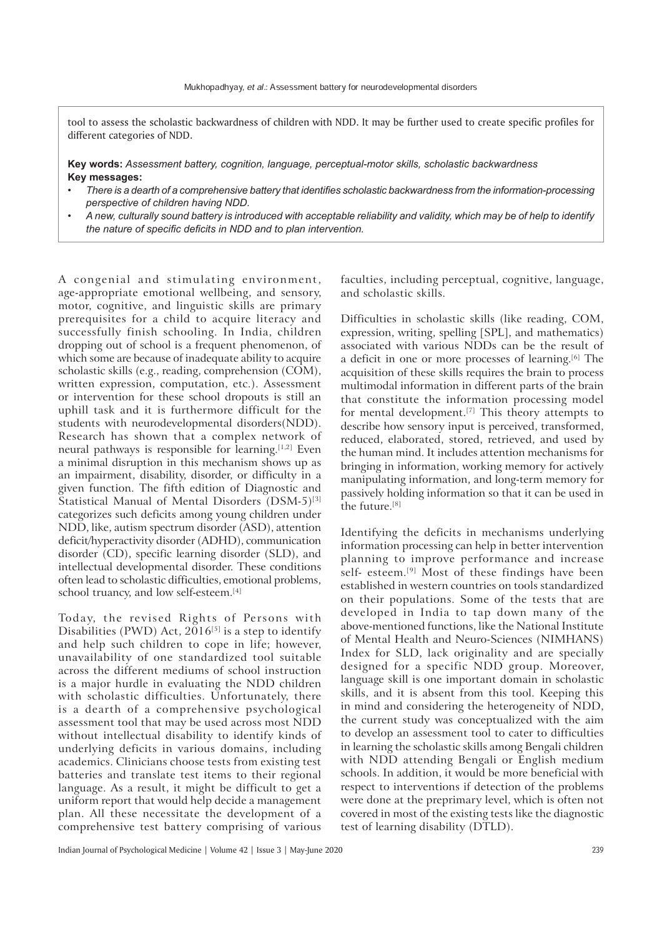tool to assess the scholastic backwardness of children with NDD. It may be further used to create specific profiles for different categories of NDD.

**Key words:** *Assessment battery, cognition, language, perceptual-motor skills, scholastic backwardness* **Key messages:**

- *There is a dearth of a comprehensive battery that identifies scholastic backwardness from the information-processing perspective of children having NDD.*
- A new, culturally sound battery is introduced with acceptable reliability and validity, which may be of help to identify the nature of specific deficits in NDD and to plan intervention.

A congenial and stimulating environment, age-appropriate emotional wellbeing, and sensory, motor, cognitive, and linguistic skills are primary prerequisites for a child to acquire literacy and successfully finish schooling. In India, children dropping out of school is a frequent phenomenon, of which some are because of inadequate ability to acquire scholastic skills (e.g., reading, comprehension (COM), written expression, computation, etc.). Assessment or intervention for these school dropouts is still an uphill task and it is furthermore difficult for the students with neurodevelopmental disorders(NDD). Research has shown that a complex network of neural pathways is responsible for learning.<sup>[1,2]</sup> Even a minimal disruption in this mechanism shows up as an impairment, disability, disorder, or difficulty in a given function. The fifth edition of Diagnostic and Statistical Manual of Mental Disorders (DSM-5)<sup>[3]</sup> categorizes such deficits among young children under NDD, like, autism spectrum disorder (ASD), attention deficit/hyperactivity disorder (ADHD), communication disorder (CD), specific learning disorder (SLD), and intellectual developmental disorder. These conditions often lead to scholastic difficulties, emotional problems, school truancy, and low self-esteem.<sup>[4]</sup>

Today, the revised Rights of Persons with Disabilities (PWD) Act,  $2016^{5}$  is a step to identify and help such children to cope in life; however, unavailability of one standardized tool suitable across the different mediums of school instruction is a major hurdle in evaluating the NDD children with scholastic difficulties. Unfortunately, there is a dearth of a comprehensive psychological assessment tool that may be used across most NDD without intellectual disability to identify kinds of underlying deficits in various domains, including academics. Clinicians choose tests from existing test batteries and translate test items to their regional language. As a result, it might be difficult to get a uniform report that would help decide a management plan. All these necessitate the development of a comprehensive test battery comprising of various

faculties, including perceptual, cognitive, language, and scholastic skills.

Difficulties in scholastic skills (like reading, COM, expression, writing, spelling [SPL], and mathematics) associated with various NDDs can be the result of a deficit in one or more processes of learning.<sup>[6]</sup> The acquisition of these skills requires the brain to process multimodal information in different parts of the brain that constitute the information processing model for mental development.[7] This theory attempts to describe how sensory input is perceived, transformed, reduced, elaborated, stored, retrieved, and used by the human mind. It includes attention mechanisms for bringing in information, working memory for actively manipulating information, and long-term memory for passively holding information so that it can be used in the future.[8]

Identifying the deficits in mechanisms underlying information processing can help in better intervention planning to improve performance and increase self- esteem.<sup>[9]</sup> Most of these findings have been established in western countries on tools standardized on their populations. Some of the tests that are developed in India to tap down many of the above-mentioned functions, like the National Institute of Mental Health and Neuro-Sciences (NIMHANS) Index for SLD, lack originality and are specially designed for a specific NDD group. Moreover, language skill is one important domain in scholastic skills, and it is absent from this tool. Keeping this in mind and considering the heterogeneity of NDD, the current study was conceptualized with the aim to develop an assessment tool to cater to difficulties in learning the scholastic skills among Bengali children with NDD attending Bengali or English medium schools. In addition, it would be more beneficial with respect to interventions if detection of the problems were done at the preprimary level, which is often not covered in most of the existing tests like the diagnostic test of learning disability (DTLD).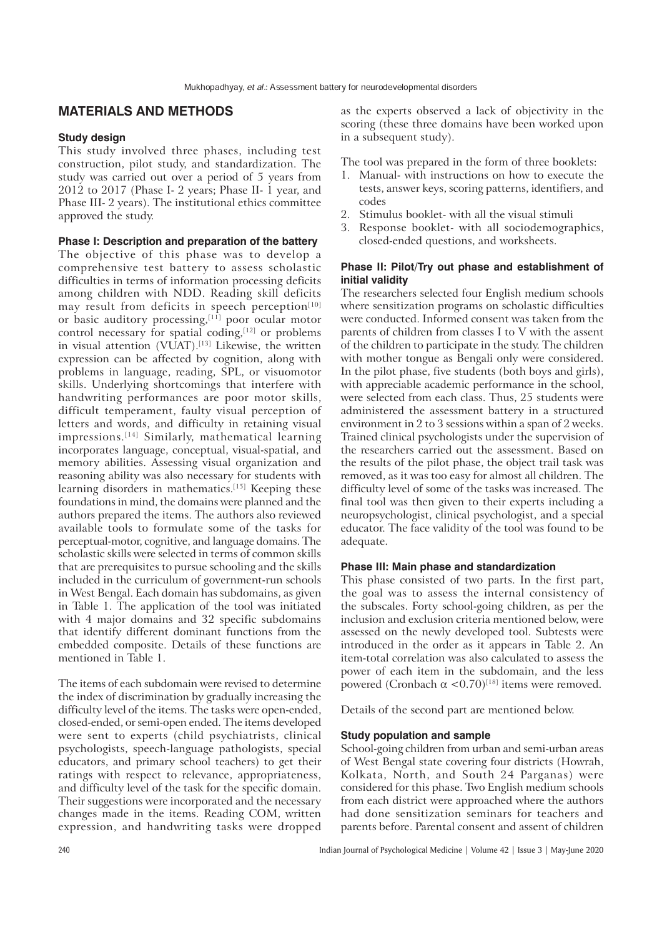# **MATERIALS AND METHODS**

### **Study design**

This study involved three phases, including test construction, pilot study, and standardization. The study was carried out over a period of 5 years from 2012 to 2017 (Phase I- 2 years; Phase II- 1 year, and Phase III- 2 years). The institutional ethics committee approved the study.

## **Phase I: Description and preparation of the battery**

The objective of this phase was to develop a comprehensive test battery to assess scholastic difficulties in terms of information processing deficits among children with NDD. Reading skill deficits may result from deficits in speech perception<sup>[10]</sup> or basic auditory processing,<sup>[11]</sup> poor ocular motor control necessary for spatial coding, $[12]$  or problems in visual attention (VUAT).<sup>[13]</sup> Likewise, the written expression can be affected by cognition, along with problems in language, reading, SPL, or visuomotor skills. Underlying shortcomings that interfere with handwriting performances are poor motor skills, difficult temperament, faulty visual perception of letters and words, and difficulty in retaining visual impressions.[14] Similarly, mathematical learning incorporates language, conceptual, visual-spatial, and memory abilities. Assessing visual organization and reasoning ability was also necessary for students with learning disorders in mathematics.<sup>[15]</sup> Keeping these foundations in mind, the domains were planned and the authors prepared the items. The authors also reviewed available tools to formulate some of the tasks for perceptual-motor, cognitive, and language domains. The scholastic skills were selected in terms of common skills that are prerequisites to pursue schooling and the skills included in the curriculum of government-run schools in West Bengal. Each domain has subdomains, as given in Table 1. The application of the tool was initiated with 4 major domains and 32 specific subdomains that identify different dominant functions from the embedded composite. Details of these functions are mentioned in Table 1.

The items of each subdomain were revised to determine the index of discrimination by gradually increasing the difficulty level of the items. The tasks were open-ended, closed-ended, or semi-open ended. The items developed were sent to experts (child psychiatrists, clinical psychologists, speech-language pathologists, special educators, and primary school teachers) to get their ratings with respect to relevance, appropriateness, and difficulty level of the task for the specific domain. Their suggestions were incorporated and the necessary changes made in the items. Reading COM, written expression, and handwriting tasks were dropped as the experts observed a lack of objectivity in the scoring (these three domains have been worked upon in a subsequent study).

The tool was prepared in the form of three booklets:

- 1. Manual- with instructions on how to execute the tests, answer keys, scoring patterns, identifiers, and codes
- 2. Stimulus booklet- with all the visual stimuli
- 3. Response booklet- with all sociodemographics, closed-ended questions, and worksheets.

# **Phase II: Pilot/Try out phase and establishment of initial validity**

The researchers selected four English medium schools where sensitization programs on scholastic difficulties were conducted. Informed consent was taken from the parents of children from classes I to V with the assent of the children to participate in the study. The children with mother tongue as Bengali only were considered. In the pilot phase, five students (both boys and girls), with appreciable academic performance in the school, were selected from each class. Thus, 25 students were administered the assessment battery in a structured environment in 2 to 3 sessions within a span of 2 weeks. Trained clinical psychologists under the supervision of the researchers carried out the assessment. Based on the results of the pilot phase, the object trail task was removed, as it was too easy for almost all children. The difficulty level of some of the tasks was increased. The final tool was then given to their experts including a neuropsychologist, clinical psychologist, and a special educator. The face validity of the tool was found to be adequate.

# **Phase III: Main phase and standardization**

This phase consisted of two parts. In the first part, the goal was to assess the internal consistency of the subscales. Forty school-going children, as per the inclusion and exclusion criteria mentioned below, were assessed on the newly developed tool. Subtests were introduced in the order as it appears in Table 2. An item-total correlation was also calculated to assess the power of each item in the subdomain, and the less powered (Cronbach  $\alpha$  <0.70)<sup>[18]</sup> items were removed.

Details of the second part are mentioned below.

# **Study population and sample**

School-going children from urban and semi-urban areas of West Bengal state covering four districts (Howrah, Kolkata, North, and South 24 Parganas) were considered for this phase. Two English medium schools from each district were approached where the authors had done sensitization seminars for teachers and parents before. Parental consent and assent of children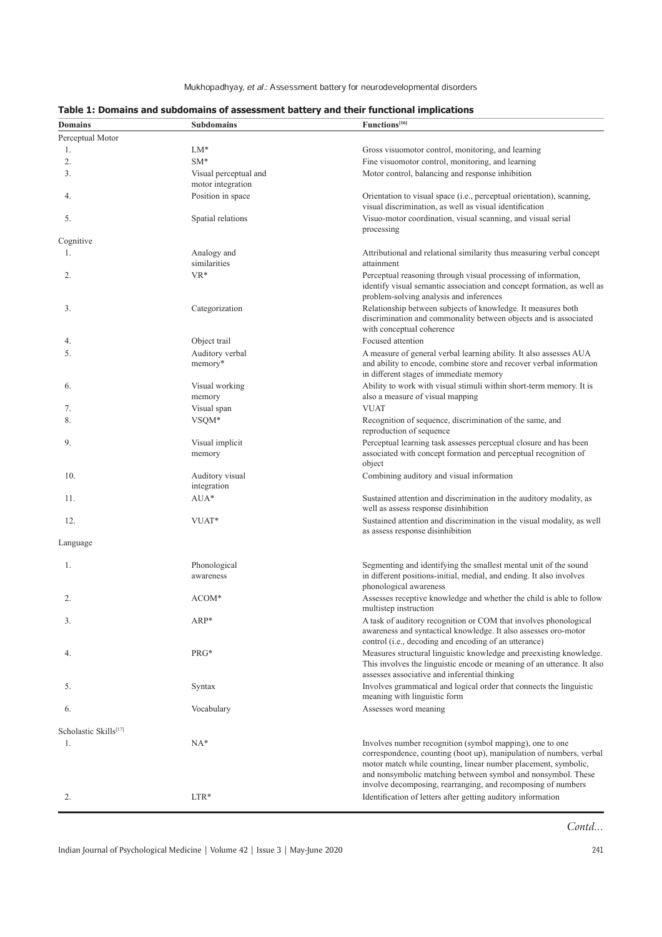Mukhopadhyay, et al.: Assessment battery for neurodevelopmental disorders

| <b>Domains</b>        | <b>Subdomains</b>                          | Functions <sup>[16]</sup>                                                                                                                                                                                                                                                                                                         |
|-----------------------|--------------------------------------------|-----------------------------------------------------------------------------------------------------------------------------------------------------------------------------------------------------------------------------------------------------------------------------------------------------------------------------------|
| Perceptual Motor      |                                            |                                                                                                                                                                                                                                                                                                                                   |
| 1.                    | $LM*$                                      | Gross visuomotor control, monitoring, and learning                                                                                                                                                                                                                                                                                |
| 2.                    | $SM*$                                      | Fine visuomotor control, monitoring, and learning                                                                                                                                                                                                                                                                                 |
| 3.                    | Visual perceptual and<br>motor integration | Motor control, balancing and response inhibition                                                                                                                                                                                                                                                                                  |
| 4.                    | Position in space                          | Orientation to visual space (i.e., perceptual orientation), scanning,<br>visual discrimination, as well as visual identification                                                                                                                                                                                                  |
| 5.                    | Spatial relations                          | Visuo-motor coordination, visual scanning, and visual serial<br>processing                                                                                                                                                                                                                                                        |
| Cognitive             |                                            |                                                                                                                                                                                                                                                                                                                                   |
| 1.                    | Analogy and<br>similarities                | Attributional and relational similarity thus measuring verbal concept<br>attainment                                                                                                                                                                                                                                               |
| 2.                    | VR*                                        | Perceptual reasoning through visual processing of information,<br>identify visual semantic association and concept formation, as well as<br>problem-solving analysis and inferences                                                                                                                                               |
| 3.                    | Categorization                             | Relationship between subjects of knowledge. It measures both<br>discrimination and commonality between objects and is associated<br>with conceptual coherence                                                                                                                                                                     |
| 4.                    | Object trail                               | Focused attention                                                                                                                                                                                                                                                                                                                 |
| 5.                    | Auditory verbal<br>memory*                 | A measure of general verbal learning ability. It also assesses AUA<br>and ability to encode, combine store and recover verbal information<br>in different stages of immediate memory                                                                                                                                              |
| 6.                    | Visual working<br>memory                   | Ability to work with visual stimuli within short-term memory. It is<br>also a measure of visual mapping                                                                                                                                                                                                                           |
| 7.                    | Visual span                                | <b>VUAT</b>                                                                                                                                                                                                                                                                                                                       |
| 8.                    | VSQM*                                      | Recognition of sequence, discrimination of the same, and<br>reproduction of sequence                                                                                                                                                                                                                                              |
| 9.                    | Visual implicit<br>memory                  | Perceptual learning task assesses perceptual closure and has been<br>associated with concept formation and perceptual recognition of<br>object                                                                                                                                                                                    |
| 10.                   | Auditory visual<br>integration             | Combining auditory and visual information                                                                                                                                                                                                                                                                                         |
| 11.                   | $AUA*$                                     | Sustained attention and discrimination in the auditory modality, as<br>well as assess response disinhibition                                                                                                                                                                                                                      |
| 12.                   | VUAT*                                      | Sustained attention and discrimination in the visual modality, as well<br>as assess response disinhibition                                                                                                                                                                                                                        |
| Language              |                                            |                                                                                                                                                                                                                                                                                                                                   |
| 1.                    | Phonological<br>awareness                  | Segmenting and identifying the smallest mental unit of the sound<br>in different positions-initial, medial, and ending. It also involves<br>phonological awareness                                                                                                                                                                |
| 2.                    | $ACOM*$                                    | Assesses receptive knowledge and whether the child is able to follow<br>multistep instruction                                                                                                                                                                                                                                     |
| 3.                    | ARP*                                       | A task of auditory recognition or COM that involves phonological<br>awareness and syntactical knowledge. It also assesses oro-motor<br>control (i.e., decoding and encoding of an utterance)                                                                                                                                      |
| 4.                    | PRG*                                       | Measures structural linguistic knowledge and preexisting knowledge.<br>This involves the linguistic encode or meaning of an utterance. It also<br>assesses associative and inferential thinking                                                                                                                                   |
| 5.                    | Syntax                                     | Involves grammatical and logical order that connects the linguistic<br>meaning with linguistic form                                                                                                                                                                                                                               |
| 6.                    | Vocabulary                                 | Assesses word meaning                                                                                                                                                                                                                                                                                                             |
| Scholastic Skills[17] |                                            |                                                                                                                                                                                                                                                                                                                                   |
| 1.                    | $NA*$                                      | Involves number recognition (symbol mapping), one to one<br>correspondence, counting (boot up), manipulation of numbers, verbal<br>motor match while counting, linear number placement, symbolic,<br>and nonsymbolic matching between symbol and nonsymbol. These<br>involve decomposing, rearranging, and recomposing of numbers |
| 2.                    | $LTR*$                                     | Identification of letters after getting auditory information                                                                                                                                                                                                                                                                      |

# Table 1: Domains and subdomains of assessment battery and their functional implications

 $Contd...$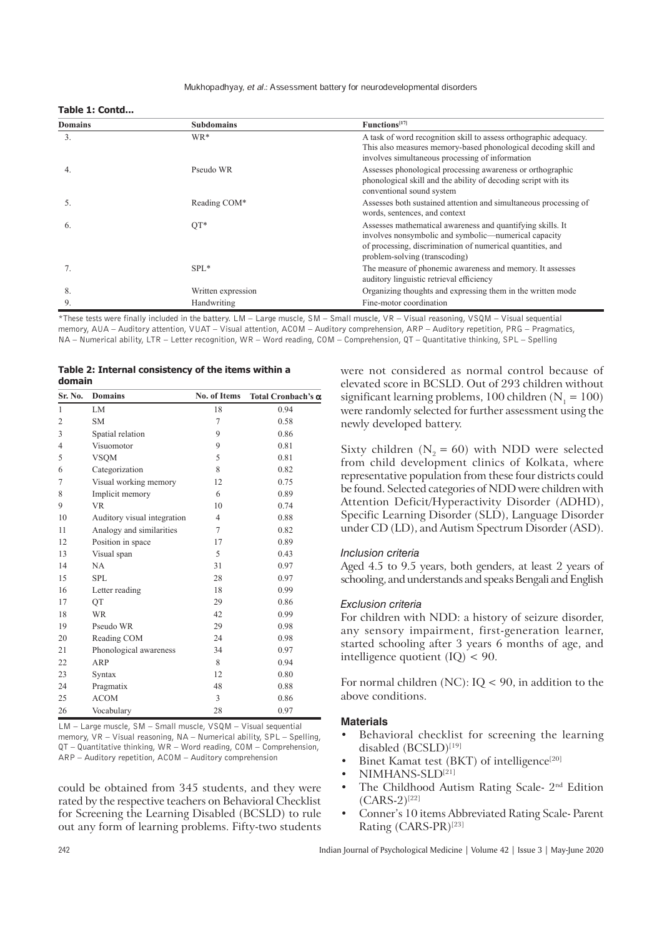#### Mukhopadhyay, et al.: Assessment battery for neurodevelopmental disorders

## **Table 1: Contd...**

| <b>Domains</b> | <b>Subdomains</b>  | Functions <sup>[17]</sup>                                                                                                                                                                                         |
|----------------|--------------------|-------------------------------------------------------------------------------------------------------------------------------------------------------------------------------------------------------------------|
| 3.             | WR*                | A task of word recognition skill to assess orthographic adequacy.<br>This also measures memory-based phonological decoding skill and<br>involves simultaneous processing of information                           |
| 4.             | Pseudo WR          | Assesses phonological processing awareness or orthographic<br>phonological skill and the ability of decoding script with its<br>conventional sound system                                                         |
| 5.             | Reading COM*       | Assesses both sustained attention and simultaneous processing of<br>words, sentences, and context                                                                                                                 |
| 6.             | $QT*$              | Assesses mathematical awareness and quantifying skills. It<br>involves nonsymbolic and symbolic—numerical capacity<br>of processing, discrimination of numerical quantities, and<br>problem-solving (transcoding) |
|                | $SPL*$             | The measure of phonemic awareness and memory. It assesses<br>auditory linguistic retrieval efficiency                                                                                                             |
| 8.             | Written expression | Organizing thoughts and expressing them in the written mode                                                                                                                                                       |
| 9              | Handwriting        | Fine-motor coordination                                                                                                                                                                                           |

\*These tests were finally included in the battery. LM – Large muscle, SM – Small muscle, VR – Visual reasoning, VSQM – Visual sequential memory, AUA – Auditory attention, VUAT – Visual attention, ACOM – Auditory comprehension, ARP – Auditory repetition, PRG – Pragmatics, NA – Numerical ability, LTR – Letter recognition, WR – Word reading, COM – Comprehension, QT – Quantitative thinking, SPL – Spelling

|        | Table 2: Internal consistency of the items within a |  |  |
|--------|-----------------------------------------------------|--|--|
| domain |                                                     |  |  |

| Sr. No.        | <b>Domains</b>              | No. of Items   | Total Cronbach's $\alpha$ |
|----------------|-----------------------------|----------------|---------------------------|
| $\mathbf{1}$   | LM                          | 18             | 0.94                      |
| 2              | SΜ                          | 7              | 0.58                      |
| 3              | Spatial relation            | 9              | 0.86                      |
| $\overline{4}$ | Visuomotor                  | 9              | 0.81                      |
| 5              | <b>VSQM</b>                 | 5              | 0.81                      |
| 6              | Categorization              | 8              | 0.82                      |
| 7              | Visual working memory       | 12             | 0.75                      |
| 8              | Implicit memory             | 6              | 0.89                      |
| 9              | <b>VR</b>                   | 10             | 0.74                      |
| 10             | Auditory visual integration | $\overline{4}$ | 0.88                      |
| 11             | Analogy and similarities    | 7              | 0.82                      |
| 12             | Position in space           | 17             | 0.89                      |
| 13             | Visual span                 | 5              | 0.43                      |
| 14             | NA.                         | 31             | 0.97                      |
| 15             | <b>SPL</b>                  | 28             | 0.97                      |
| 16             | Letter reading              | 18             | 0.99                      |
| 17             | QT                          | 29             | 0.86                      |
| 18             | <b>WR</b>                   | 42             | 0.99                      |
| 19             | Pseudo WR                   | 29             | 0.98                      |
| 20             | Reading COM                 | 24             | 0.98                      |
| 21             | Phonological awareness      | 34             | 0.97                      |
| 22             | ARP                         | 8              | 0.94                      |
| 23             | Syntax                      | 12             | 0.80                      |
| 24             | Pragmatix                   | 48             | 0.88                      |
| 25             | <b>ACOM</b>                 | 3              | 0.86                      |
| 26             | Vocabulary                  | 28             | 0.97                      |

LM – Large muscle, SM – Small muscle, VSQM – Visual sequential memory, VR – Visual reasoning, NA – Numerical ability, SPL – Spelling, QT – Quantitative thinking, WR – Word reading, COM – Comprehension, ARP – Auditory repetition, ACOM – Auditory comprehension

could be obtained from 345 students, and they were rated by the respective teachers on Behavioral Checklist for Screening the Learning Disabled (BCSLD) to rule out any form of learning problems. Fifty-two students were not considered as normal control because of elevated score in BCSLD. Out of 293 children without significant learning problems, 100 children ( $N_1 = 100$ ) were randomly selected for further assessment using the newly developed battery.

Sixty children  $(N_2 = 60)$  with NDD were selected from child development clinics of Kolkata, where representative population from these four districts could be found. Selected categories of NDD were children with Attention Deficit/Hyperactivity Disorder (ADHD), Specific Learning Disorder (SLD), Language Disorder under CD (LD), and Autism Spectrum Disorder (ASD).

#### *Inclusion criteria*

Aged 4.5 to 9.5 years, both genders, at least 2 years of schooling, and understands and speaks Bengali and English

#### *Exclusion criteria*

For children with NDD: a history of seizure disorder, any sensory impairment, first-generation learner, started schooling after 3 years 6 months of age, and intelligence quotient  $(IQ) < 90$ .

For normal children (NC):  $IQ < 90$ , in addition to the above conditions.

### **Materials**

- Behavioral checklist for screening the learning disabled (BCSLD)<sup>[19]</sup>
- Binet Kamat test (BKT) of intelligence<sup>[20]</sup>
- NIMHANS-SLD[21]
- The Childhood Autism Rating Scale-  $2<sup>nd</sup>$  Edition  $(CARS-2)^{[22]}$
- Conner's 10 items Abbreviated Rating Scale-Parent Rating (CARS-PR)<sup>[23]</sup>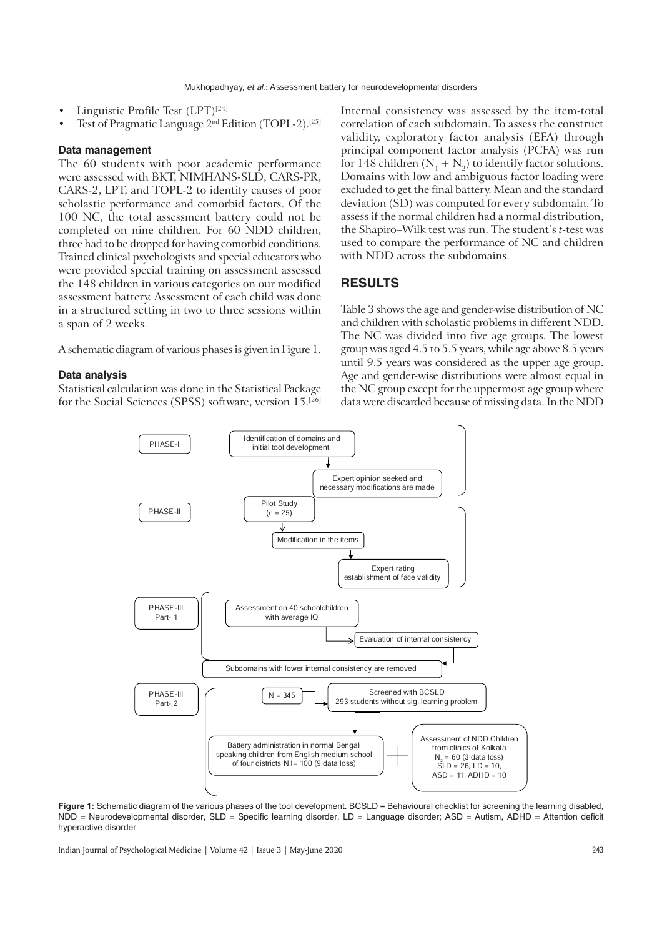- Linguistic Profile Test (LPT)<sup>[24]</sup>
- Test of Pragmatic Language 2<sup>nd</sup> Edition (TOPL-2).<sup>[25]</sup>

#### **Data management**

The 60 students with poor academic performance were assessed with BKT, NIMHANS-SLD, CARS-PR, CARS-2, LPT, and TOPL-2 to identify causes of poor scholastic performance and comorbid factors. Of the 100 NC, the total assessment battery could not be completed on nine children. For 60 NDD children, three had to be dropped for having comorbid conditions. Trained clinical psychologists and special educators who were provided special training on assessment assessed the 148 children in various categories on our modified assessment battery. Assessment of each child was done in a structured setting in two to three sessions within a span of 2 weeks.

A schematic diagram of various phases is given in Figure 1.

## **Data analysis**

Statistical calculation was done in the Statistical Package for the Social Sciences (SPSS) software, version 15.[26] Internal consistency was assessed by the item-total correlation of each subdomain. To assess the construct validity, exploratory factor analysis (EFA) through principal component factor analysis (PCFA) was run for 148 children ( $N_1 + N_2$ ) to identify factor solutions. Domains with low and ambiguous factor loading were excluded to get the final battery. Mean and the standard deviation (SD) was computed for every subdomain. To assess if the normal children had a normal distribution, the Shapiro–Wilk test was run. The student's *t*-test was used to compare the performance of NC and children with NDD across the subdomains.

# **RESULTS**

Table 3 shows the age and gender-wise distribution of NC and children with scholastic problems in different NDD. The NC was divided into five age groups. The lowest group was aged 4.5 to 5.5 years, while age above 8.5 years until 9.5 years was considered as the upper age group. Age and gender-wise distributions were almost equal in the NC group except for the uppermost age group where data were discarded because of missing data. In the NDD



Figure 1: Schematic diagram of the various phases of the tool development. BCSLD = Behavioural checklist for screening the learning disabled, NDD = Neurodevelopmental disorder, SLD = Specific learning disorder, LD = Language disorder; ASD = Autism, ADHD = Attention deficit hyperactive disorder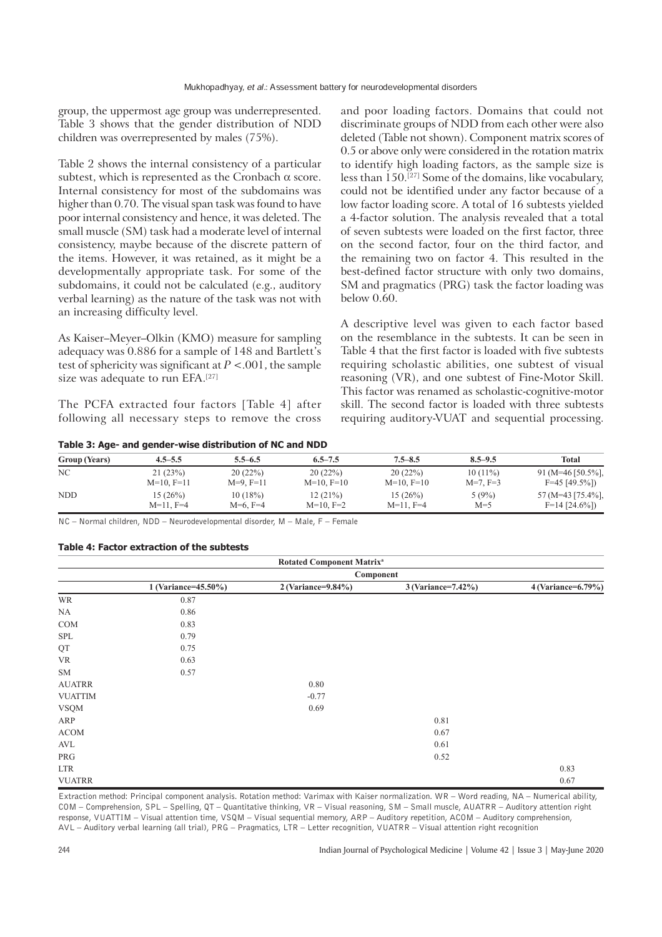group, the uppermost age group was underrepresented. Table 3 shows that the gender distribution of NDD children was overrepresented by males (75%).

Table 2 shows the internal consistency of a particular subtest, which is represented as the Cronbach  $\alpha$  score. Internal consistency for most of the subdomains was higher than 0.70. The visual span task was found to have poor internal consistency and hence, it was deleted. The small muscle (SM) task had a moderate level of internal consistency, maybe because of the discrete pattern of the items. However, it was retained, as it might be a developmentally appropriate task. For some of the subdomains, it could not be calculated (e.g., auditory verbal learning) as the nature of the task was not with an increasing difficulty level.

As Kaiser–Meyer–Olkin (KMO) measure for sampling adequacy was 0.886 for a sample of 148 and Bartlett's test of sphericity was significant at *P* <.001, the sample size was adequate to run EFA.[27]

The PCFA extracted four factors [Table 4] after following all necessary steps to remove the cross

**Table 3: Age- and gender-wise distribution of NC and NDD**

and poor loading factors. Domains that could not discriminate groups of NDD from each other were also deleted (Table not shown). Component matrix scores of 0.5 or above only were considered in the rotation matrix to identify high loading factors, as the sample size is less than  $150$ .<sup>[27]</sup> Some of the domains, like vocabulary, could not be identified under any factor because of a low factor loading score. A total of 16 subtests yielded a 4-factor solution. The analysis revealed that a total of seven subtests were loaded on the first factor, three on the second factor, four on the third factor, and the remaining two on factor 4. This resulted in the best-defined factor structure with only two domains, SM and pragmatics (PRG) task the factor loading was below 0.60.

A descriptive level was given to each factor based on the resemblance in the subtests. It can be seen in Table 4 that the first factor is loaded with five subtests requiring scholastic abilities, one subtest of visual reasoning (VR), and one subtest of Fine-Motor Skill. This factor was renamed as scholastic-cognitive-motor skill. The second factor is loaded with three subtests requiring auditory-VUAT and sequential processing.

| <b>Group (Years)</b> | $4.5 - 5.5$    | $5.5 - 6.5$ | $6.5 - 7.5$  | $7.5 - 8.5$    | $8.5 - 9.5$ | Total             |
|----------------------|----------------|-------------|--------------|----------------|-------------|-------------------|
| NC                   | 21(23%)        | 20(22%)     | 20(22%)      | 20(22%)        | $10(11\%)$  | 91 (M=46 [50.5%], |
|                      | $M=10, F=11$   | $M=9, F=11$ | $M=10, F=10$ | $M=10, F=10$   | $M=7, F=3$  | $F=45$ [49.5%])   |
| <b>NDD</b>           | 15 (26%)       | 10(18%)     | 12(21%)      | 15(26%)        | 5(9%)       | 57 (M=43 [75.4%], |
|                      | $M=11$ , $F=4$ | $M=6, F=4$  | $M=10, F=2$  | $M=11$ , $F=4$ | $M=5$       | $F=14$ [24.6%])   |

NC – Normal children, NDD – Neurodevelopmental disorder, M – Male, F – Female

## **Table 4: Factor extraction of the subtests**

|                |                     | <b>Rotated Component Matrix<sup>a</sup></b> |                    |                    |  |  |  |
|----------------|---------------------|---------------------------------------------|--------------------|--------------------|--|--|--|
|                | Component           |                                             |                    |                    |  |  |  |
|                | 1 (Variance=45.50%) | 2 (Variance=9.84%)                          | 3 (Variance=7.42%) | 4 (Variance=6.79%) |  |  |  |
| WR             | 0.87                |                                             |                    |                    |  |  |  |
| NA             | 0.86                |                                             |                    |                    |  |  |  |
| COM            | 0.83                |                                             |                    |                    |  |  |  |
| SPL            | 0.79                |                                             |                    |                    |  |  |  |
| QT             | 0.75                |                                             |                    |                    |  |  |  |
| VR             | 0.63                |                                             |                    |                    |  |  |  |
| <b>SM</b>      | 0.57                |                                             |                    |                    |  |  |  |
| <b>AUATRR</b>  |                     | 0.80                                        |                    |                    |  |  |  |
| <b>VUATTIM</b> |                     | $-0.77$                                     |                    |                    |  |  |  |
| <b>VSQM</b>    |                     | 0.69                                        |                    |                    |  |  |  |
| ARP            |                     |                                             | 0.81               |                    |  |  |  |
| <b>ACOM</b>    |                     |                                             | 0.67               |                    |  |  |  |
| AVL            |                     |                                             | 0.61               |                    |  |  |  |
| PRG            |                     |                                             | 0.52               |                    |  |  |  |
| <b>LTR</b>     |                     |                                             |                    | 0.83               |  |  |  |
| <b>VUATRR</b>  |                     |                                             |                    | 0.67               |  |  |  |

Extraction method: Principal component analysis. Rotation method: Varimax with Kaiser normalization. WR – Word reading, NA – Numerical ability, COM – Comprehension, SPL – Spelling, QT – Quantitative thinking, VR – Visual reasoning, SM – Small muscle, AUATRR – Auditory attention right response, VUATTIM – Visual attention time, VSQM – Visual sequential memory, ARP – Auditory repetition, ACOM – Auditory comprehension, AVL – Auditory verbal learning (all trial), PRG – Pragmatics, LTR – Letter recognition, VUATRR – Visual attention right recognition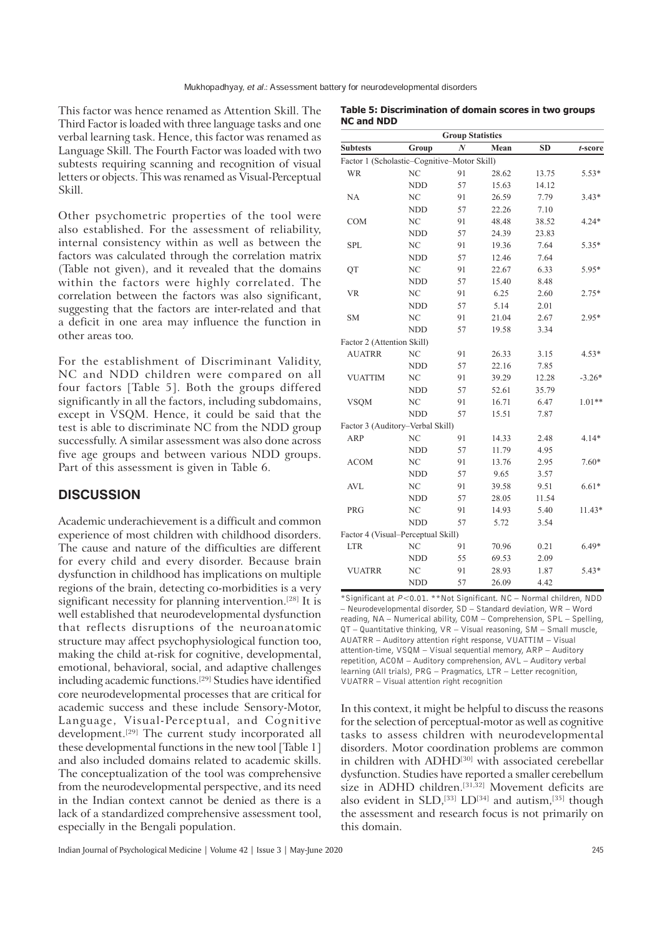This factor was hence renamed as Attention Skill. The Third Factor is loaded with three language tasks and one verbal learning task. Hence, this factor was renamed as Language Skill. The Fourth Factor was loaded with two subtests requiring scanning and recognition of visual letters or objects. This was renamed as Visual-Perceptual Skill.

Other psychometric properties of the tool were also established. For the assessment of reliability, internal consistency within as well as between the factors was calculated through the correlation matrix (Table not given), and it revealed that the domains within the factors were highly correlated. The correlation between the factors was also significant, suggesting that the factors are inter-related and that a deficit in one area may influence the function in other areas too.

For the establishment of Discriminant Validity, NC and NDD children were compared on all four factors [Table 5]. Both the groups differed significantly in all the factors, including subdomains, except in VSQM. Hence, it could be said that the test is able to discriminate NC from the NDD group successfully. A similar assessment was also done across five age groups and between various NDD groups. Part of this assessment is given in Table 6.

# **DISCUSSION**

Academic underachievement is a difficult and common experience of most children with childhood disorders. The cause and nature of the difficulties are different for every child and every disorder. Because brain dysfunction in childhood has implications on multiple regions of the brain, detecting co-morbidities is a very significant necessity for planning intervention.[28] It is well established that neurodevelopmental dysfunction that reflects disruptions of the neuroanatomic structure may affect psychophysiological function too, making the child at-risk for cognitive, developmental, emotional, behavioral, social, and adaptive challenges including academic functions.[29] Studies have identified core neurodevelopmental processes that are critical for academic success and these include Sensory-Motor, Language, Visual-Perceptual, and Cognitive development.[29] The current study incorporated all these developmental functions in the new tool [Table 1] and also included domains related to academic skills. The conceptualization of the tool was comprehensive from the neurodevelopmental perspective, and its need in the Indian context cannot be denied as there is a lack of a standardized comprehensive assessment tool, especially in the Bengali population.

|                                             |            |                  |       | <b>Group Statistics</b> |          |  |  |  |  |  |
|---------------------------------------------|------------|------------------|-------|-------------------------|----------|--|--|--|--|--|
| <b>Subtests</b>                             | Group      | $\boldsymbol{N}$ | Mean  | <b>SD</b>               | t-score  |  |  |  |  |  |
| Factor 1 (Scholastic-Cognitive-Motor Skill) |            |                  |       |                         |          |  |  |  |  |  |
| <b>WR</b>                                   | NC         | 91               | 28.62 | 13.75                   | $5.53*$  |  |  |  |  |  |
|                                             | <b>NDD</b> | 57               | 15.63 | 14.12                   |          |  |  |  |  |  |
| NA                                          | NC         | 91               | 26.59 | 7.79                    | $3.43*$  |  |  |  |  |  |
|                                             | NDD        | 57               | 22.26 | 7.10                    |          |  |  |  |  |  |
| <b>COM</b>                                  | NC         | 91               | 48.48 | 38.52                   | $4.24*$  |  |  |  |  |  |
|                                             | <b>NDD</b> | 57               | 24.39 | 23.83                   |          |  |  |  |  |  |
| <b>SPL</b>                                  | NC         | 91               | 19.36 | 7.64                    | $5.35*$  |  |  |  |  |  |
|                                             | <b>NDD</b> | 57               | 12.46 | 7.64                    |          |  |  |  |  |  |
| QT                                          | NC         | 91               | 22.67 | 6.33                    | 5.95*    |  |  |  |  |  |
|                                             | <b>NDD</b> | 57               | 15.40 | 8.48                    |          |  |  |  |  |  |
| <b>VR</b>                                   | <b>NC</b>  | 91               | 6.25  | 2.60                    | $2.75*$  |  |  |  |  |  |
|                                             | <b>NDD</b> | 57               | 5.14  | 2.01                    |          |  |  |  |  |  |
| <b>SM</b>                                   | NC         | 91               | 21.04 | 2.67                    | $2.95*$  |  |  |  |  |  |
|                                             | <b>NDD</b> | 57               | 19.58 | 3.34                    |          |  |  |  |  |  |
| Factor 2 (Attention Skill)                  |            |                  |       |                         |          |  |  |  |  |  |
| <b>AUATRR</b>                               | NC         | 91               | 26.33 | 3.15                    | $4.53*$  |  |  |  |  |  |
|                                             | <b>NDD</b> | 57               | 22.16 | 7.85                    |          |  |  |  |  |  |
| <b>VUATTIM</b>                              | NC         | 91               | 39.29 | 12.28                   | $-3.26*$ |  |  |  |  |  |
|                                             | <b>NDD</b> | 57               | 52.61 | 35.79                   |          |  |  |  |  |  |
| <b>VSQM</b>                                 | NC         | 91               | 16.71 | 6.47                    | $1.01**$ |  |  |  |  |  |
|                                             | <b>NDD</b> | 57               | 15.51 | 7.87                    |          |  |  |  |  |  |
| Factor 3 (Auditory-Verbal Skill)            |            |                  |       |                         |          |  |  |  |  |  |
| <b>ARP</b>                                  | NC         | 91               | 14.33 | 2.48                    | $4.14*$  |  |  |  |  |  |
|                                             | <b>NDD</b> | 57               | 11.79 | 4.95                    |          |  |  |  |  |  |
| <b>ACOM</b>                                 | NC         | 91               | 13.76 | 2.95                    | $7.60*$  |  |  |  |  |  |
|                                             | <b>NDD</b> | 57               | 9.65  | 3.57                    |          |  |  |  |  |  |
| <b>AVL</b>                                  | NC         | 91               | 39.58 | 9.51                    | $6.61*$  |  |  |  |  |  |
|                                             | <b>NDD</b> | 57               | 28.05 | 11.54                   |          |  |  |  |  |  |
| <b>PRG</b>                                  | NC         | 91               | 14.93 | 5.40                    | 11.43*   |  |  |  |  |  |
|                                             | <b>NDD</b> | 57               | 5.72  | 3.54                    |          |  |  |  |  |  |
| Factor 4 (Visual-Perceptual Skill)          |            |                  |       |                         |          |  |  |  |  |  |
| <b>LTR</b>                                  | NC         | 91               | 70.96 | 0.21                    | $6.49*$  |  |  |  |  |  |
|                                             | <b>NDD</b> | 55               | 69.53 | 2.09                    |          |  |  |  |  |  |
| <b>VUATRR</b>                               | NC         | 91               | 28.93 | 1.87                    | $5.43*$  |  |  |  |  |  |
|                                             | <b>NDD</b> | 57               | 26.09 | 4.42                    |          |  |  |  |  |  |

NDD 57 26.09 4.42 \*Significant at *P<*0.01. \*\*Not Significant. NC – Normal children, NDD – Neurodevelopmental disorder, SD – Standard deviation, WR – Word reading, NA – Numerical ability, COM – Comprehension, SPL – Spelling, QT – Quantitative thinking, VR – Visual reasoning, SM – Small muscle, AUATRR – Auditory attention right response, VUATTIM – Visual attention-time, VSQM – Visual sequential memory, ARP – Auditory

repetition, ACOM – Auditory comprehension, AVL – Auditory verbal learning (All trials), PRG – Pragmatics, LTR – Letter recognition, VUATRR – Visual attention right recognition

In this context, it might be helpful to discuss the reasons for the selection of perceptual-motor as well as cognitive tasks to assess children with neurodevelopmental disorders. Motor coordination problems are common in children with ADHD<sup>[30]</sup> with associated cerebellar dysfunction. Studies have reported a smaller cerebellum size in ADHD children.<sup>[31,32]</sup> Movement deficits are also evident in SLD,<sup>[33]</sup> LD<sup>[34]</sup> and autism,<sup>[35]</sup> though the assessment and research focus is not primarily on this domain.

**Table 5: Discrimination of domain scores in two groups NC and NDD**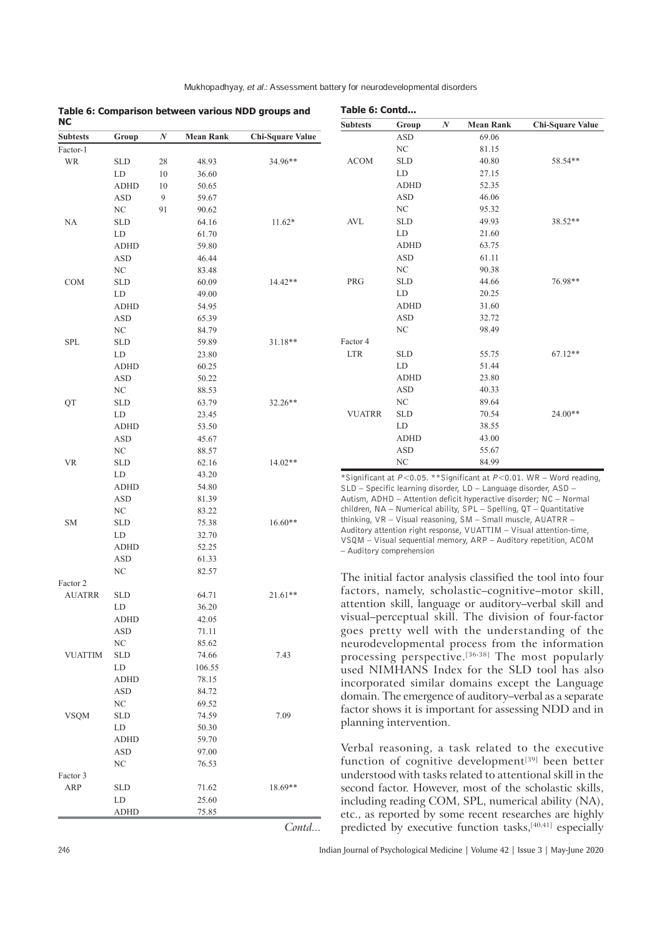| Mukhopadhyay, et al.: Assessment battery for neurodevelopmental disorders |
|---------------------------------------------------------------------------|

| <b>NC</b>       |                      |                  | Table 6: Comparison between various NDD groups and |                         |                          |                          |   |                                                                                                                                     |                                                                               |
|-----------------|----------------------|------------------|----------------------------------------------------|-------------------------|--------------------------|--------------------------|---|-------------------------------------------------------------------------------------------------------------------------------------|-------------------------------------------------------------------------------|
|                 |                      |                  |                                                    |                         | <b>Subtests</b>          | Group                    | N | <b>Mean Rank</b>                                                                                                                    | <b>Chi-Square Value</b>                                                       |
| <b>Subtests</b> | Group                | $\boldsymbol{N}$ | <b>Mean Rank</b>                                   | <b>Chi-Square Value</b> |                          | ASD                      |   | 69.06                                                                                                                               |                                                                               |
| Factor-1        |                      |                  |                                                    |                         |                          | $\rm NC$                 |   | 81.15                                                                                                                               |                                                                               |
| WR              | <b>SLD</b>           | 28               | 48.93                                              | $34.96**$               | <b>ACOM</b>              | <b>SLD</b><br>${\rm LD}$ |   | 40.80                                                                                                                               | 58.54**                                                                       |
|                 | LD                   | 10               | 36.60                                              |                         |                          |                          |   | 27.15                                                                                                                               |                                                                               |
|                 | <b>ADHD</b>          | 10               | 50.65                                              |                         |                          | <b>ADHD</b>              |   | 52.35                                                                                                                               |                                                                               |
|                 | <b>ASD</b>           | 9                | 59.67                                              |                         |                          | <b>ASD</b>               |   | 46.06                                                                                                                               |                                                                               |
|                 | NC                   | 91               | 90.62                                              |                         |                          | $\rm NC$                 |   | 95.32                                                                                                                               |                                                                               |
| <b>NA</b>       | <b>SLD</b>           |                  | 64.16                                              | $11.62*$                | <b>AVL</b>               | <b>SLD</b>               |   | 49.93                                                                                                                               | 38.52**                                                                       |
|                 | LD                   |                  | 61.70                                              |                         |                          | ${\rm LD}$               |   | 21.60                                                                                                                               |                                                                               |
|                 | <b>ADHD</b>          |                  | 59.80                                              |                         |                          | <b>ADHD</b>              |   | 63.75                                                                                                                               |                                                                               |
|                 | <b>ASD</b>           |                  | 46.44                                              |                         |                          | <b>ASD</b>               |   | 61.11                                                                                                                               |                                                                               |
|                 | NC                   |                  | 83.48                                              |                         |                          | $\rm NC$                 |   | 90.38                                                                                                                               |                                                                               |
| <b>COM</b>      | <b>SLD</b>           |                  | 60.09                                              | $14.42**$               | PRG                      | <b>SLD</b>               |   | 44.66                                                                                                                               | 76.98**                                                                       |
|                 | LD                   |                  | 49.00                                              |                         |                          | LD                       |   | 20.25                                                                                                                               |                                                                               |
|                 | <b>ADHD</b>          |                  | 54.95                                              |                         |                          | <b>ADHD</b>              |   | 31.60                                                                                                                               |                                                                               |
|                 | <b>ASD</b>           |                  | 65.39                                              |                         |                          | <b>ASD</b>               |   | 32.72                                                                                                                               |                                                                               |
|                 | NC                   |                  | 84.79                                              |                         |                          | NC                       |   | 98.49                                                                                                                               |                                                                               |
| SPL             | <b>SLD</b>           |                  | 59.89                                              | $31.18**$               | Factor 4                 |                          |   |                                                                                                                                     |                                                                               |
|                 | LD                   |                  | 23.80                                              |                         | <b>LTR</b>               | <b>SLD</b>               |   | 55.75                                                                                                                               | $67.12**$                                                                     |
|                 | <b>ADHD</b>          |                  | 60.25                                              |                         |                          | ${\rm LD}$               |   | 51.44                                                                                                                               |                                                                               |
|                 | <b>ASD</b>           |                  | 50.22                                              |                         |                          | <b>ADHD</b>              |   | 23.80                                                                                                                               |                                                                               |
|                 | NC                   |                  | 88.53                                              |                         |                          | ASD                      |   | 40.33                                                                                                                               |                                                                               |
| QT              | <b>SLD</b>           |                  | 63.79                                              | 32.26**                 |                          | $\rm NC$                 |   | 89.64                                                                                                                               |                                                                               |
|                 | LD                   |                  | 23.45                                              |                         | <b>VUATRR</b>            | <b>SLD</b>               |   | 70.54                                                                                                                               | $24.00**$                                                                     |
|                 | <b>ADHD</b>          |                  | 53.50                                              |                         |                          | LD                       |   | 38.55                                                                                                                               |                                                                               |
|                 | <b>ASD</b>           |                  | 45.67                                              |                         |                          | <b>ADHD</b>              |   | 43.00                                                                                                                               |                                                                               |
|                 | NC                   |                  | 88.57                                              |                         |                          | <b>ASD</b>               |   | 55.67                                                                                                                               |                                                                               |
| <b>VR</b>       | <b>SLD</b>           |                  | 62.16                                              | $14.02**$               |                          | NC                       |   | 84.99                                                                                                                               |                                                                               |
|                 | LD                   |                  | 43.20                                              |                         |                          |                          |   |                                                                                                                                     | *Significant at $P < 0.05$ . **Significant at $P < 0.01$ . WR - Word reading, |
|                 | <b>ADHD</b>          |                  | 54.80                                              |                         |                          |                          |   | SLD - Specific learning disorder, LD - Language disorder, ASD -                                                                     |                                                                               |
|                 | <b>ASD</b>           |                  | 81.39                                              |                         |                          |                          |   |                                                                                                                                     | Autism, ADHD – Attention deficit hyperactive disorder; NC – Normal            |
|                 | $\rm NC$             |                  | 83.22                                              |                         |                          |                          |   | children, NA - Numerical ability, SPL - Spelling, QT - Quantitative<br>thinking, VR - Visual reasoning, SM - Small muscle, AUATRR - |                                                                               |
| <b>SM</b>       | <b>SLD</b>           |                  | 75.38                                              | $16.60**$               |                          |                          |   |                                                                                                                                     | Auditory attention right response, VUATTIM - Visual attention-time,           |
|                 | LD                   |                  | 32.70                                              |                         |                          |                          |   |                                                                                                                                     | VSQM - Visual sequential memory, ARP - Auditory repetition, ACOM              |
|                 | <b>ADHD</b>          |                  | 52.25                                              |                         | – Auditory comprehension |                          |   |                                                                                                                                     |                                                                               |
|                 | <b>ASD</b>           |                  | 61.33                                              |                         |                          |                          |   |                                                                                                                                     |                                                                               |
|                 | NC                   |                  | 82.57                                              |                         |                          |                          |   |                                                                                                                                     | The initial factor analysis classified the tool into four                     |
| Factor 2        |                      |                  |                                                    |                         |                          |                          |   |                                                                                                                                     | factors, namely, scholastic-cognitive-motor skill,                            |
| <b>AUATRR</b>   | $\operatorname{SLD}$ |                  | 64.71                                              | $21.61**$               |                          |                          |   |                                                                                                                                     |                                                                               |
|                 | LD                   |                  | 36.20                                              |                         |                          |                          |   |                                                                                                                                     | attention skill, language or auditory-verbal skill and                        |
|                 | <b>ADHD</b>          |                  | 42.05                                              |                         |                          |                          |   |                                                                                                                                     | visual-perceptual skill. The division of four-factor                          |
|                 | ASD                  |                  | 71.11                                              |                         |                          |                          |   |                                                                                                                                     | goes pretty well with the understanding of the                                |
|                 | NC                   |                  | 85.62                                              |                         |                          |                          |   |                                                                                                                                     | neurodevelopmental process from the information                               |
| <b>VUATTIM</b>  | <b>SLD</b>           |                  | 74.66                                              | 7.43                    |                          |                          |   |                                                                                                                                     | processing perspective. <sup>[36-38]</sup> The most popularly                 |
|                 | LD                   |                  | 106.55                                             |                         |                          |                          |   |                                                                                                                                     | used NIMHANS Index for the SLD tool has also                                  |
|                 | ADHD                 |                  | 78.15                                              |                         |                          |                          |   |                                                                                                                                     | incorporated similar domains except the Language                              |
|                 | ASD                  |                  | 84.72                                              |                         |                          |                          |   |                                                                                                                                     | domain. The emergence of auditory–verbal as a separate                        |
|                 | NC                   |                  | 69.52                                              |                         |                          |                          |   |                                                                                                                                     | factor shows it is important for assessing NDD and in                         |
| <b>VSQM</b>     | <b>SLD</b>           |                  | 74.59                                              | 7.09                    | planning intervention.   |                          |   |                                                                                                                                     |                                                                               |
|                 | LD                   |                  | 50.30                                              |                         |                          |                          |   |                                                                                                                                     |                                                                               |
|                 | ADHD                 |                  | 59.70                                              |                         |                          |                          |   |                                                                                                                                     |                                                                               |
|                 | ASD                  |                  | 97.00                                              |                         |                          |                          |   |                                                                                                                                     | Verbal reasoning, a task related to the executive                             |
|                 | NC                   |                  | 76.53                                              |                         |                          |                          |   |                                                                                                                                     | function of cognitive development <sup>[39]</sup> been better                 |
| Factor 3        |                      |                  |                                                    |                         |                          |                          |   |                                                                                                                                     | understood with tasks related to attentional skill in the                     |
| ARP             | <b>SLD</b>           |                  | 71.62                                              | $18.69**$               |                          |                          |   |                                                                                                                                     | second factor. However, most of the scholastic skills,                        |
|                 | LD                   |                  | 25.60                                              |                         |                          |                          |   |                                                                                                                                     | including reading COM, SPL, numerical ability (NA),                           |
|                 | ADHD                 |                  | 75.85                                              |                         |                          |                          |   | etc., as reported by some recent researches are highly                                                                              |                                                                               |

246 Indian Journal of Psychological Medicine | Volume 42 | Issue 3 | May-June 2020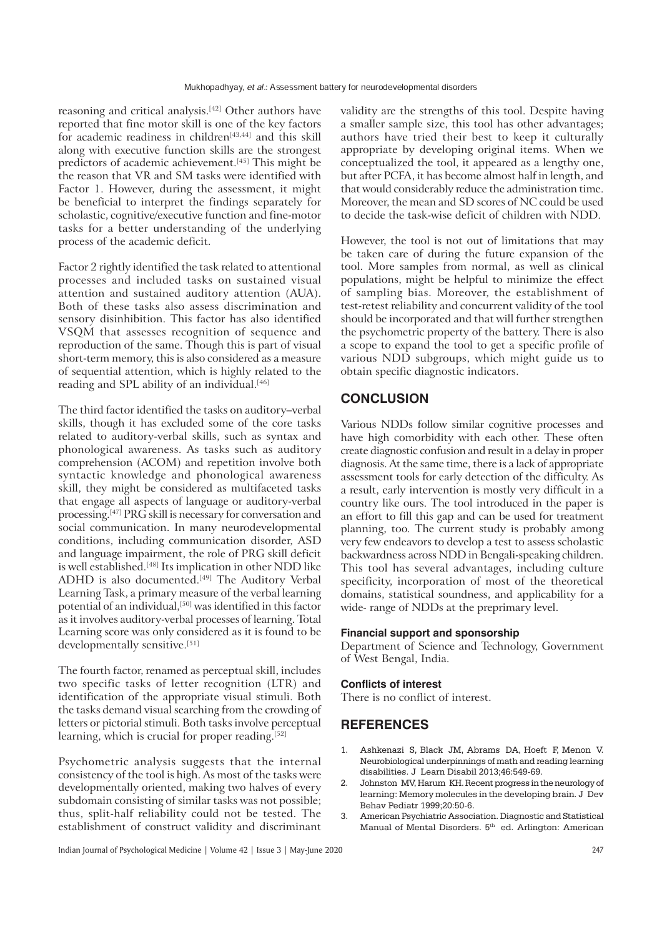reasoning and critical analysis.[42] Other authors have reported that fine motor skill is one of the key factors for academic readiness in children<sup>[43,44]</sup> and this skill along with executive function skills are the strongest predictors of academic achievement.<sup>[45]</sup> This might be the reason that VR and SM tasks were identified with Factor 1. However, during the assessment, it might be beneficial to interpret the findings separately for scholastic, cognitive/executive function and fine-motor tasks for a better understanding of the underlying process of the academic deficit.

Factor 2 rightly identified the task related to attentional processes and included tasks on sustained visual attention and sustained auditory attention (AUA). Both of these tasks also assess discrimination and sensory disinhibition. This factor has also identified VSQM that assesses recognition of sequence and reproduction of the same. Though this is part of visual short-term memory, this is also considered as a measure of sequential attention, which is highly related to the reading and SPL ability of an individual.<sup>[46]</sup>

The third factor identified the tasks on auditory–verbal skills, though it has excluded some of the core tasks related to auditory-verbal skills, such as syntax and phonological awareness. As tasks such as auditory comprehension (ACOM) and repetition involve both syntactic knowledge and phonological awareness skill, they might be considered as multifaceted tasks that engage all aspects of language or auditory-verbal processing.[47] PRG skill is necessary for conversation and social communication. In many neurodevelopmental conditions, including communication disorder, ASD and language impairment, the role of PRG skill deficit is well established.[48] Its implication in other NDD like ADHD is also documented.<sup>[49]</sup> The Auditory Verbal Learning Task, a primary measure of the verbal learning potential of an individual,<sup>[50]</sup> was identified in this factor as it involves auditory-verbal processes of learning. Total Learning score was only considered as it is found to be developmentally sensitive.[51]

The fourth factor, renamed as perceptual skill, includes two specific tasks of letter recognition (LTR) and identification of the appropriate visual stimuli. Both the tasks demand visual searching from the crowding of letters or pictorial stimuli. Both tasks involve perceptual learning, which is crucial for proper reading.<sup>[52]</sup>

Psychometric analysis suggests that the internal consistency of the tool is high. As most of the tasks were developmentally oriented, making two halves of every subdomain consisting of similar tasks was not possible; thus, split-half reliability could not be tested. The establishment of construct validity and discriminant validity are the strengths of this tool. Despite having a smaller sample size, this tool has other advantages; authors have tried their best to keep it culturally appropriate by developing original items. When we conceptualized the tool, it appeared as a lengthy one, but after PCFA, it has become almost half in length, and that would considerably reduce the administration time. Moreover, the mean and SD scores of NC could be used to decide the task-wise deficit of children with NDD.

However, the tool is not out of limitations that may be taken care of during the future expansion of the tool. More samples from normal, as well as clinical populations, might be helpful to minimize the effect of sampling bias. Moreover, the establishment of test-retest reliability and concurrent validity of the tool should be incorporated and that will further strengthen the psychometric property of the battery. There is also a scope to expand the tool to get a specific profile of various NDD subgroups, which might guide us to obtain specific diagnostic indicators.

# **CONCLUSION**

Various NDDs follow similar cognitive processes and have high comorbidity with each other. These often create diagnostic confusion and result in a delay in proper diagnosis. At the same time, there is a lack of appropriate assessment tools for early detection of the difficulty. As a result, early intervention is mostly very difficult in a country like ours. The tool introduced in the paper is an effort to fill this gap and can be used for treatment planning, too. The current study is probably among very few endeavors to develop a test to assess scholastic backwardness across NDD in Bengali-speaking children. This tool has several advantages, including culture specificity, incorporation of most of the theoretical domains, statistical soundness, and applicability for a wide- range of NDDs at the preprimary level.

## **Financial support and sponsorship**

Department of Science and Technology, Government of West Bengal, India.

## **Conflicts of interest**

There is no conflict of interest.

# **REFERENCES**

- 1. Ashkenazi S, Black JM, Abrams DA, Hoeft F, Menon V. Neurobiological underpinnings of math and reading learning disabilities. J Learn Disabil 2013;46:549-69.
- 2. Johnston MV, Harum KH. Recent progress in the neurology of learning: Memory molecules in the developing brain. J Dev Behav Pediatr 1999;20:50-6.
- 3. American Psychiatric Association. Diagnostic and Statistical Manual of Mental Disorders. 5<sup>th</sup> ed. Arlington: American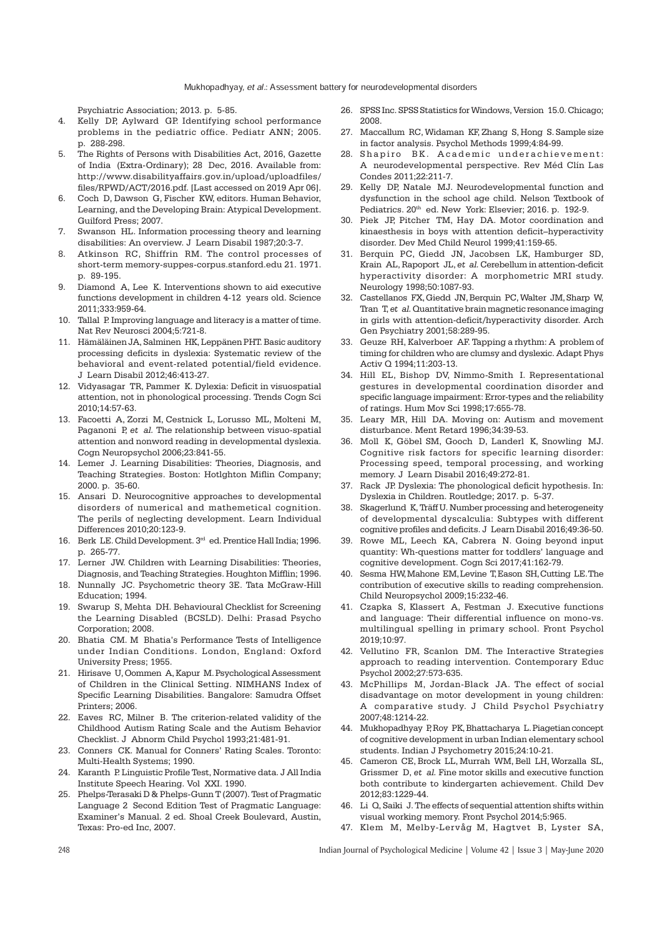Psychiatric Association; 2013. p. 5-85.

- Kelly DP, Aylward GP. Identifying school performance  $\overline{4}$ . problems in the pediatric office. Pediatr ANN; 2005. p. 288-298.
- The Rights of Persons with Disabilities Act, 2016, Gazette .5. of India (Extra-Ordinary); 28 Dec, 2016. Available from: http://www.disabilityaffairs.gov.in/upload/uploadfiles/ files/RPWD/ACT/2016.pdf. [Last accessed on 2019 Apr 06].
- 6. Coch D, Dawson G, Fischer KW, editors. Human Behavior, Learning, and the Developing Brain: Atypical Development. Guilford Press; 2007.
- Swanson HL, Information processing theory and learning  $7\overline{ }$ disabilities: An overview. J Learn Disabil 1987;20:3-7.
- Atkinson RC, Shiffrin RM. The control processes of 8. short-term memory-suppes-corpus.stanford.edu 21. 1971. p. 89-195.
- 9. Diamond A, Lee K. Interventions shown to aid executive functions development in children 4-12 years old. Science 2011:333:959-64.
- 10. Tallal P. Improving language and literacy is a matter of time. Nat Rev Neurosci 2004;5:721-8.
- 11. Hämäläinen JA, Salminen HK, Leppänen PHT. Basic auditory processing deficits in dyslexia: Systematic review of the behavioral and event-related potential/field evidence. J Learn Disabil 2012;46:413-27.
- 12. Vidyasagar TR, Pammer K. Dylexia: Deficit in visuospatial attention, not in phonological processing. Trends Cogn Sci 2010;14:57-63.
- 13. Facoetti A, Zorzi M, Cestnick L, Lorusso ML, Molteni M, Paganoni P, et al. The relationship between visuo-spatial attention and nonword reading in developmental dyslexia. Cogn Neuropsychol 2006;23:841-55.
- 14. Lemer J. Learning Disabilities: Theories, Diagnosis, and Teaching Strategies. Boston: Hotlghton Miflin Company; 2000. p. 35-60.
- 15. Ansari D. Neurocognitive approaches to developmental disorders of numerical and mathemetical cognition. The perils of neglecting development. Learn Individual Differences 2010:20:123-9.
- 16. Berk LE. Child Development. 3rd ed. Prentice Hall India; 1996. p. 265-77.
- 17. Lerner JW. Children with Learning Disabilities: Theories, Diagnosis, and Teaching Strategies. Houghton Mifflin; 1996.
- 18. Nunnally JC. Psychometric theory 3E. Tata McGraw-Hill Education: 1994.
- 19. Swarup S, Mehta DH. Behavioural Checklist for Screening the Learning Disabled (BCSLD). Delhi: Prasad Psycho Corporation: 2008.
- 20. Bhatia CM. M Bhatia's Performance Tests of Intelligence under Indian Conditions. London, England: Oxford University Press; 1955.
- 21. Hirisave U, Oommen A, Kapur M. Psychological Assessment of Children in the Clinical Setting. NIMHANS Index of Specific Learning Disabilities. Bangalore: Samudra Offset Printers: 2006.
- 22. Eaves RC, Milner B. The criterion-related validity of the Childhood Autism Rating Scale and the Autism Behavior Checklist. J Abnorm Child Psychol 1993;21:481-91.
- 23. Conners CK. Manual for Conners' Rating Scales. Toronto: Multi-Health Systems; 1990.
- 24. Karanth P. Linguistic Profile Test, Normative data. J All India Institute Speech Hearing. Vol XXI. 1990.
- 25. Phelps-Terasaki D & Phelps-Gunn T (2007). Test of Pragmatic Language 2 Second Edition Test of Pragmatic Language: Examiner's Manual. 2 ed. Shoal Creek Boulevard, Austin, Texas: Pro-ed Inc, 2007.
- SPSS Inc. SPSS Statistics for Windows, Version 15.0. Chicago;  $26 -$ 2008.
- 27. Maccallum RC, Widaman KF, Zhang S, Hong S. Sample size in factor analysis. Psychol Methods 1999;4:84-99.
- 28. Shapiro BK. Academic underachievement: A neurodevelopmental perspective. Rev Méd Clín Las Condes 2011;22:211-7.
- $29.$ Kelly DP, Natale MJ. Neurodevelopmental function and dysfunction in the school age child. Nelson Textbook of Pediatrics. 20<sup>th</sup> ed. New York: Elsevier; 2016. p. 192-9.
- 30. Piek JP, Pitcher TM, Hay DA. Motor coordination and kinaesthesis in boys with attention deficit-hyperactivity disorder. Dev Med Child Neurol 1999;41:159-65.
- 31. Berquin PC, Giedd JN, Jacobsen LK, Hamburger SD, Krain AL, Rapoport JL, et al. Cerebellum in attention-deficit hyperactivity disorder: A morphometric MRI study. Neurology 1998;50:1087-93.
- 32. Castellanos FX, Giedd JN, Berquin PC, Walter JM, Sharp W, Tran T, et al. Quantitative brain magnetic resonance imaging in girls with attention-deficit/hyperactivity disorder. Arch Gen Psychiatry 2001;58:289-95.
- 33. Geuze RH, Kalverboer AF. Tapping a rhythm: A problem of timing for children who are clumsy and dyslexic. Adapt Phys Activ Q 1994;11:203-13.
- 34. Hill EL, Bishop DV, Nimmo-Smith I. Representational gestures in developmental coordination disorder and specific language impairment: Error-types and the reliability of ratings. Hum Mov Sci 1998;17:655-78.
- 35. Leary MR, Hill DA, Moving on: Autism and movement disturbance. Ment Retard 1996;34:39-53.
- 36. Moll K, Göbel SM, Gooch D, Landerl K, Snowling MJ. Cognitive risk factors for specific learning disorder: Processing speed, temporal processing, and working memory. J Learn Disabil 2016;49:272-81.
- 37. Rack JP. Dyslexia: The phonological deficit hypothesis. In: Dyslexia in Children. Routledge; 2017. p. 5-37.
- 38. Skagerlund K, Träff U. Number processing and heterogeneity of developmental dyscalculia: Subtypes with different cognitive profiles and deficits. J Learn Disabil 2016;49:36-50.
- 39. Rowe ML, Leech KA, Cabrera N, Going beyond input quantity: Wh-questions matter for toddlers' language and cognitive development. Cogn Sci 2017:41:162-79.
- 40. Sesma HW, Mahone EM, Levine T, Eason SH, Cutting LE. The contribution of executive skills to reading comprehension. Child Neuropsychol 2009;15:232-46.
- 41. Czapka S, Klassert A, Festman J. Executive functions and language: Their differential influence on mono-vs. multilingual spelling in primary school. Front Psychol 2019:10:97.
- 42. Vellutino FR, Scanlon DM. The Interactive Strategies approach to reading intervention. Contemporary Educ Psychol 2002:27:573-635.
- 43. McPhillips M, Jordan-Black JA. The effect of social disadvantage on motor development in young children: A comparative study. J Child Psychol Psychiatry 2007;48:1214-22.
- 44. Mukhopadhyay P.Roy PK. Bhattacharya L. Piagetian concept of cognitive development in urban Indian elementary school students. Indian J Psychometry 2015:24:10-21.
- 45. Cameron CE, Brock LL, Murrah WM, Bell LH, Worzalla SL, Grissmer, D. et, al. Fine motor skills and executive function both contribute to kindergarten achievement. Child Dev 2012:83:1229-44.
- 46. Li Q, Saiki J. The effects of sequential attention shifts within visual working memory. Front Psychol 2014:5:965.
- 47. Klem M, Melby-Lervåg M, Hagtvet B, Lyster SA,

Indian Journal of Psychological Medicine | Volume 42 | Issue 3 | May-June 2020